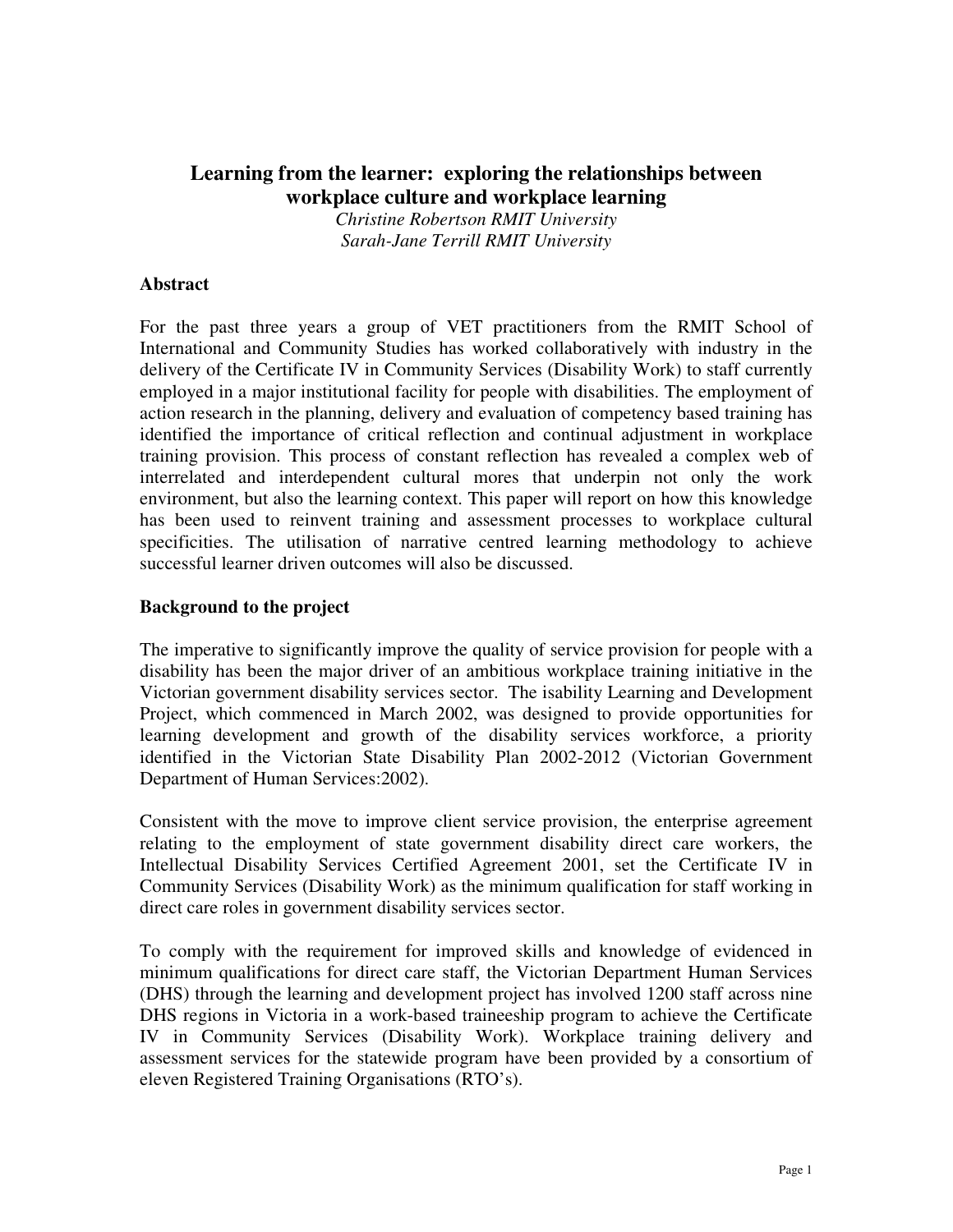# **Learning from the learner: exploring the relationships between workplace culture and workplace learning**

*Christine Robertson RMIT University Sarah-Jane Terrill RMIT University*

#### **Abstract**

For the past three years a group of VET practitioners from the RMIT School of International and Community Studies has worked collaboratively with industry in the delivery of the Certificate IV in Community Services (Disability Work) to staff currently employed in a major institutional facility for people with disabilities. The employment of action research in the planning, delivery and evaluation of competency based training has identified the importance of critical reflection and continual adjustment in workplace training provision. This process of constant reflection has revealed a complex web of interrelated and interdependent cultural mores that underpin not only the work environment, but also the learning context. This paper will report on how this knowledge has been used to reinvent training and assessment processes to workplace cultural specificities. The utilisation of narrative centred learning methodology to achieve successful learner driven outcomes will also be discussed.

#### **Background to the project**

The imperative to significantly improve the quality of service provision for people with a disability has been the major driver of an ambitious workplace training initiative in the Victorian government disability services sector. The isability Learning and Development Project, which commenced in March 2002, was designed to provide opportunities for learning development and growth of the disability services workforce, a priority identified in the Victorian State Disability Plan 2002-2012 (Victorian Government Department of Human Services:2002).

Consistent with the move to improve client service provision, the enterprise agreement relating to the employment of state government disability direct care workers, the Intellectual Disability Services Certified Agreement 2001, set the Certificate IV in Community Services (Disability Work) as the minimum qualification for staff working in direct care roles in government disability services sector.

To comply with the requirement for improved skills and knowledge of evidenced in minimum qualifications for direct care staff, the Victorian Department Human Services (DHS) through the learning and development project has involved 1200 staff across nine DHS regions in Victoria in a work-based traineeship program to achieve the Certificate IV in Community Services (Disability Work). Workplace training delivery and assessment services for the statewide program have been provided by a consortium of eleven Registered Training Organisations (RTO's).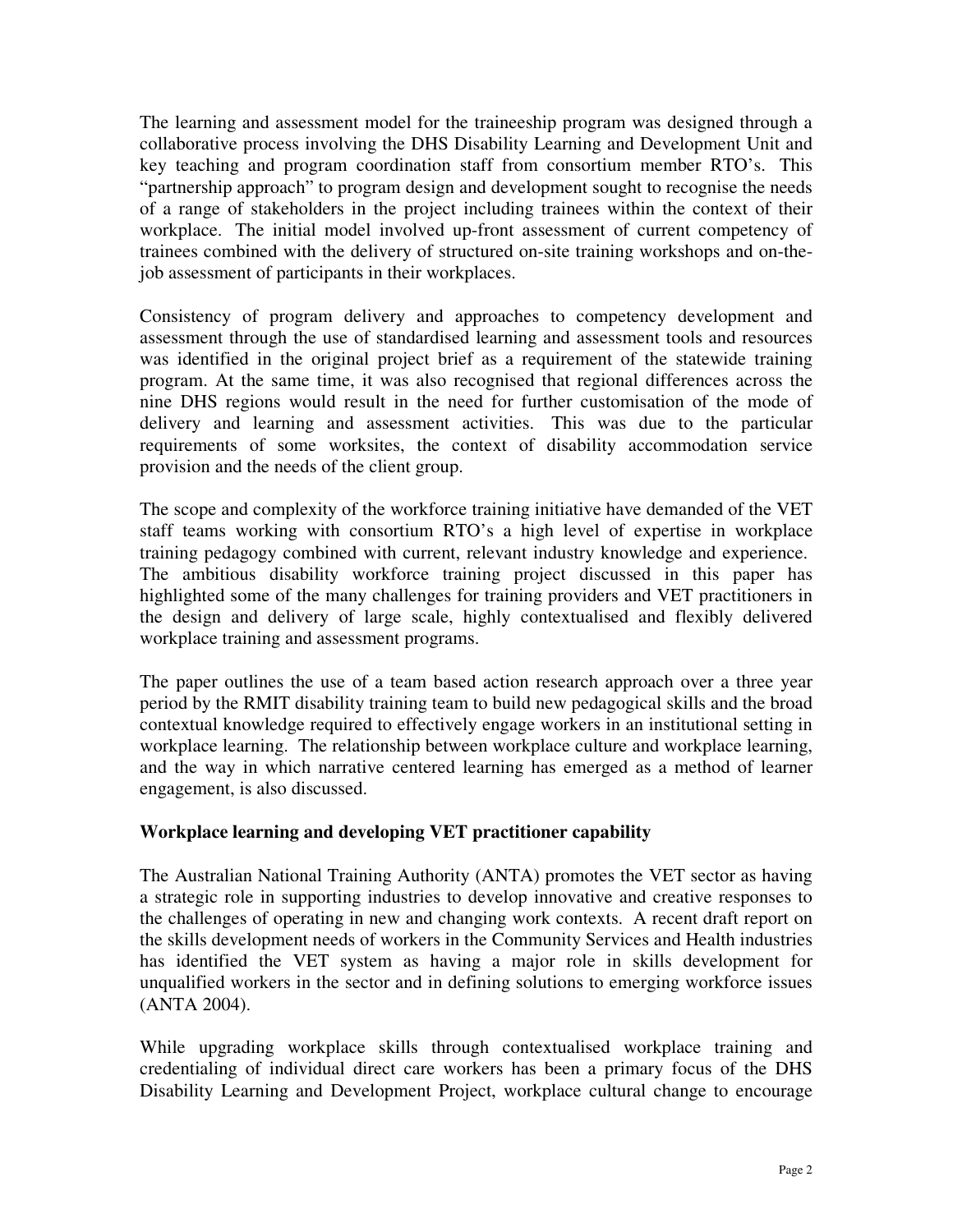The learning and assessment model for the traineeship program was designed through a collaborative process involving the DHS Disability Learning and Development Unit and key teaching and program coordination staff from consortium member RTO's. This "partnership approach" to program design and development sought to recognise the needs of a range of stakeholders in the project including trainees within the context of their workplace. The initial model involved up-front assessment of current competency of trainees combined with the delivery of structured on-site training workshops and on-thejob assessment of participants in their workplaces.

Consistency of program delivery and approaches to competency development and assessment through the use of standardised learning and assessment tools and resources was identified in the original project brief as a requirement of the statewide training program. At the same time, it was also recognised that regional differences across the nine DHS regions would result in the need for further customisation of the mode of delivery and learning and assessment activities. This was due to the particular requirements of some worksites, the context of disability accommodation service provision and the needs of the client group.

The scope and complexity of the workforce training initiative have demanded of the VET staff teams working with consortium RTO's a high level of expertise in workplace training pedagogy combined with current, relevant industry knowledge and experience. The ambitious disability workforce training project discussed in this paper has highlighted some of the many challenges for training providers and VET practitioners in the design and delivery of large scale, highly contextualised and flexibly delivered workplace training and assessment programs.

The paper outlines the use of a team based action research approach over a three year period by the RMIT disability training team to build new pedagogical skills and the broad contextual knowledge required to effectively engage workers in an institutional setting in workplace learning. The relationship between workplace culture and workplace learning, and the way in which narrative centered learning has emerged as a method of learner engagement, is also discussed.

## **Workplace learning and developing VET practitioner capability**

The Australian National Training Authority (ANTA) promotes the VET sector as having a strategic role in supporting industries to develop innovative and creative responses to the challenges of operating in new and changing work contexts. A recent draft report on the skills development needs of workers in the Community Services and Health industries has identified the VET system as having a major role in skills development for unqualified workers in the sector and in defining solutions to emerging workforce issues (ANTA 2004).

While upgrading workplace skills through contextualised workplace training and credentialing of individual direct care workers has been a primary focus of the DHS Disability Learning and Development Project, workplace cultural change to encourage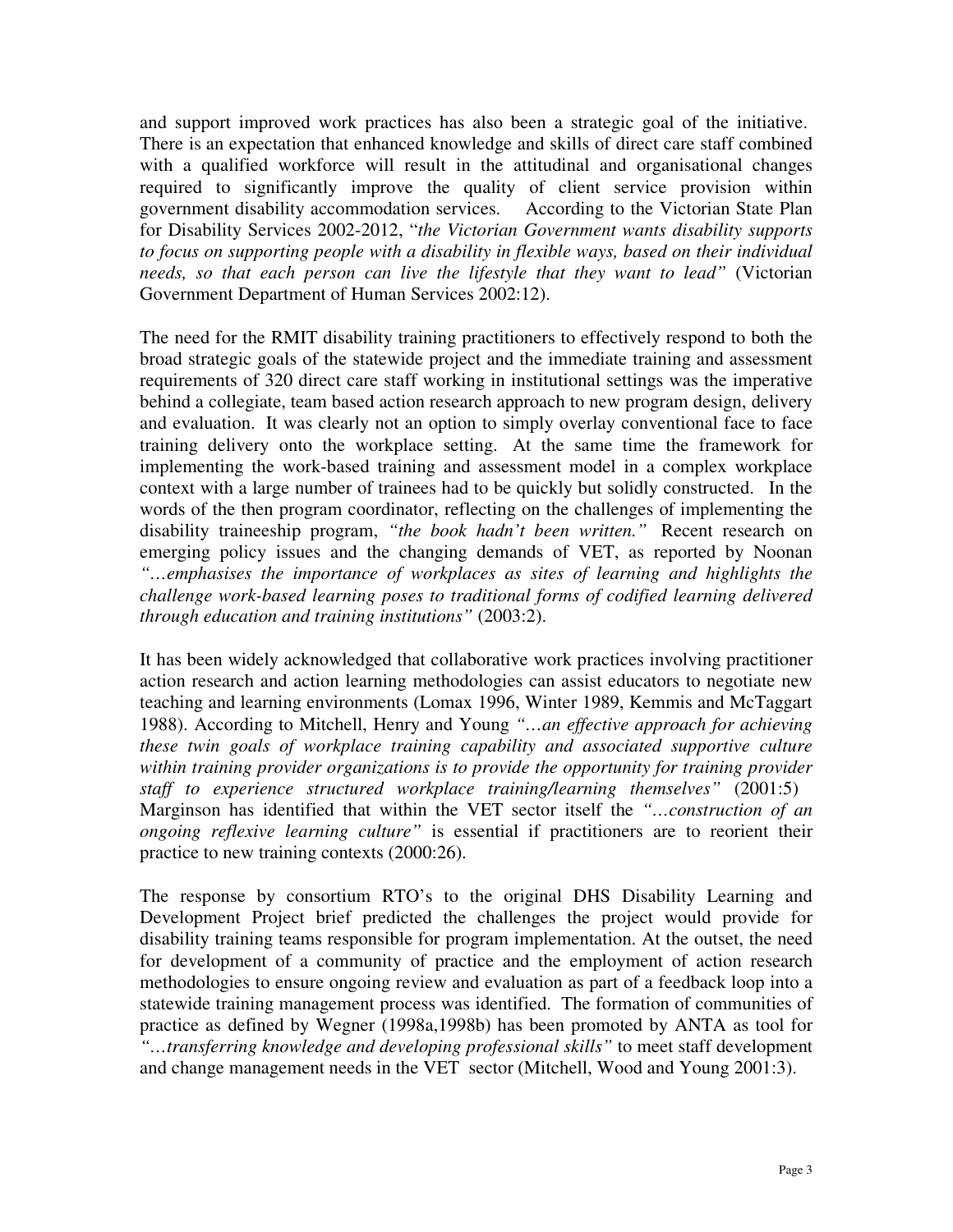and support improved work practices has also been a strategic goal of the initiative. There is an expectation that enhanced knowledge and skills of direct care staff combined with a qualified workforce will result in the attitudinal and organisational changes required to significantly improve the quality of client service provision within government disability accommodation services. According to the Victorian State Plan for Disability Services 2002-2012, "*the Victorian Government wants disability supports to focus on supporting people with a disability in flexible ways, based on their individual needs, so that each person can live the lifestyle that they want to lead"* (Victorian Government Department of Human Services 2002:12).

The need for the RMIT disability training practitioners to effectively respond to both the broad strategic goals of the statewide project and the immediate training and assessment requirements of 320 direct care staff working in institutional settings was the imperative behind a collegiate, team based action research approach to new program design, delivery and evaluation. It was clearly not an option to simply overlay conventional face to face training delivery onto the workplace setting. At the same time the framework for implementing the work-based training and assessment model in a complex workplace context with a large number of trainees had to be quickly but solidly constructed. In the words of the then program coordinator, reflecting on the challenges of implementing the disability traineeship program, *"the book hadn't been written."* Recent research on emerging policy issues and the changing demands of VET, as reported by Noonan *"…emphasises the importance of workplaces as sites of learning and highlights the challenge work-based learning poses to traditional forms of codified learning delivered through education and training institutions"* (2003:2).

It has been widely acknowledged that collaborative work practices involving practitioner action research and action learning methodologies can assist educators to negotiate new teaching and learning environments (Lomax 1996, Winter 1989, Kemmis and McTaggart 1988). According to Mitchell, Henry and Young *"…an effective approach for achieving these twin goals of workplace training capability and associated supportive culture within training provider organizations is to provide the opportunity for training provider staff to experience structured workplace training/learning themselves"* (2001:5) Marginson has identified that within the VET sector itself the *"…construction of an ongoing reflexive learning culture"* is essential if practitioners are to reorient their practice to new training contexts (2000:26).

The response by consortium RTO's to the original DHS Disability Learning and Development Project brief predicted the challenges the project would provide for disability training teams responsible for program implementation. At the outset, the need for development of a community of practice and the employment of action research methodologies to ensure ongoing review and evaluation as part of a feedback loop into a statewide training management process was identified. The formation of communities of practice as defined by Wegner (1998a,1998b) has been promoted by ANTA as tool for *"…transferring knowledge and developing professional skills"* to meet staff development and change management needs in the VET sector (Mitchell, Wood and Young 2001:3).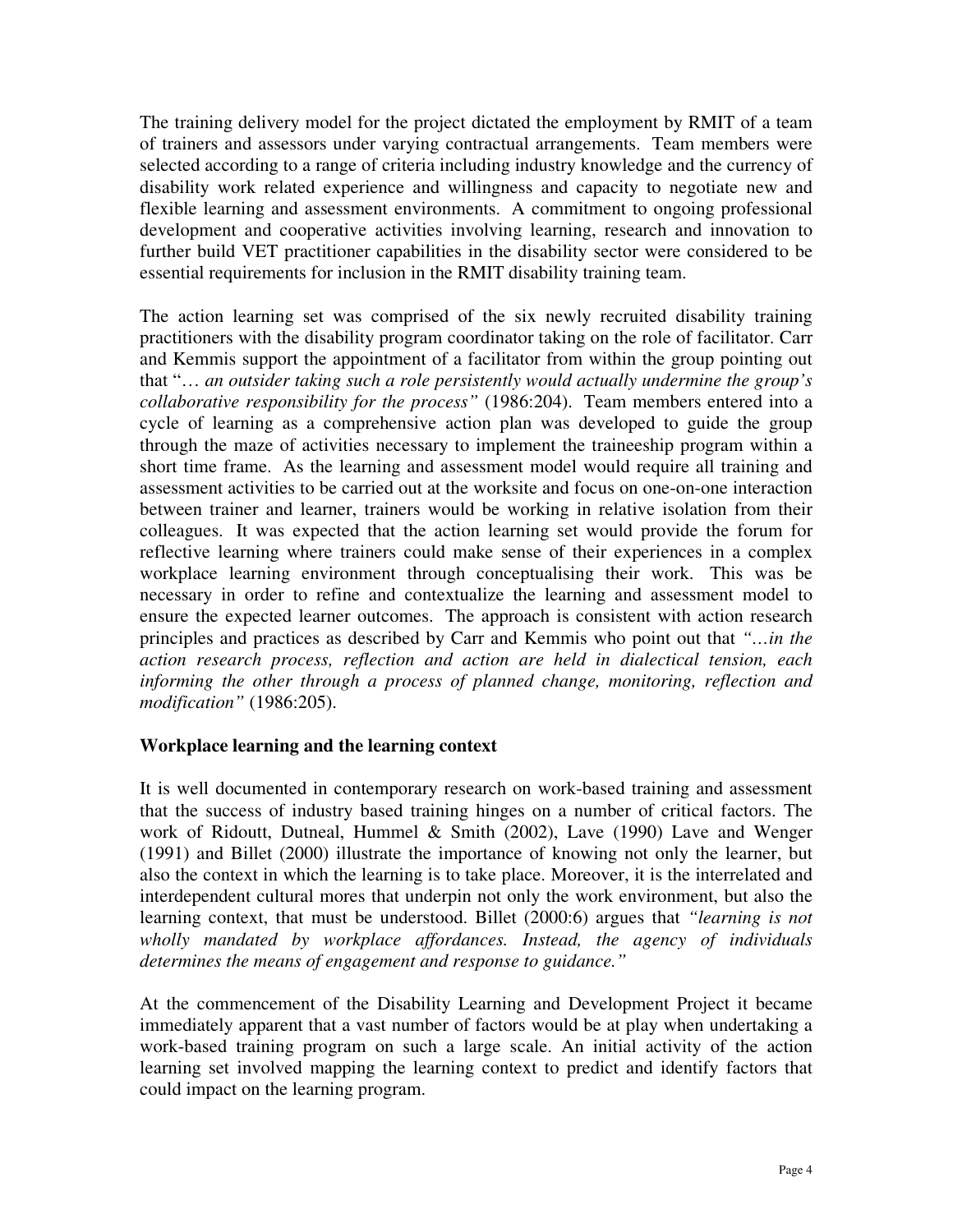The training delivery model for the project dictated the employment by RMIT of a team of trainers and assessors under varying contractual arrangements. Team members were selected according to a range of criteria including industry knowledge and the currency of disability work related experience and willingness and capacity to negotiate new and flexible learning and assessment environments. A commitment to ongoing professional development and cooperative activities involving learning, research and innovation to further build VET practitioner capabilities in the disability sector were considered to be essential requirements for inclusion in the RMIT disability training team.

The action learning set was comprised of the six newly recruited disability training practitioners with the disability program coordinator taking on the role of facilitator. Carr and Kemmis support the appointment of a facilitator from within the group pointing out that "… *an outsider taking such a role persistently would actually undermine the group's collaborative responsibility for the process"* (1986:204). Team members entered into a cycle of learning as a comprehensive action plan was developed to guide the group through the maze of activities necessary to implement the traineeship program within a short time frame. As the learning and assessment model would require all training and assessment activities to be carried out at the worksite and focus on one-on-one interaction between trainer and learner, trainers would be working in relative isolation from their colleagues. It was expected that the action learning set would provide the forum for reflective learning where trainers could make sense of their experiences in a complex workplace learning environment through conceptualising their work. This was be necessary in order to refine and contextualize the learning and assessment model to ensure the expected learner outcomes. The approach is consistent with action research principles and practices as described by Carr and Kemmis who point out that *"…in the action research process, reflection and action are held in dialectical tension, each informing the other through a process of planned change, monitoring, reflection and modification"* (1986:205).

#### **Workplace learning and the learning context**

It is well documented in contemporary research on work-based training and assessment that the success of industry based training hinges on a number of critical factors. The work of Ridoutt, Dutneal, Hummel & Smith (2002), Lave (1990) Lave and Wenger (1991) and Billet (2000) illustrate the importance of knowing not only the learner, but also the context in which the learning is to take place. Moreover, it is the interrelated and interdependent cultural mores that underpin not only the work environment, but also the learning context, that must be understood. Billet (2000:6) argues that *"learning is not wholly mandated by workplace affordances. Instead, the agency of individuals determines the means of engagement and response to guidance."*

At the commencement of the Disability Learning and Development Project it became immediately apparent that a vast number of factors would be at play when undertaking a work-based training program on such a large scale. An initial activity of the action learning set involved mapping the learning context to predict and identify factors that could impact on the learning program.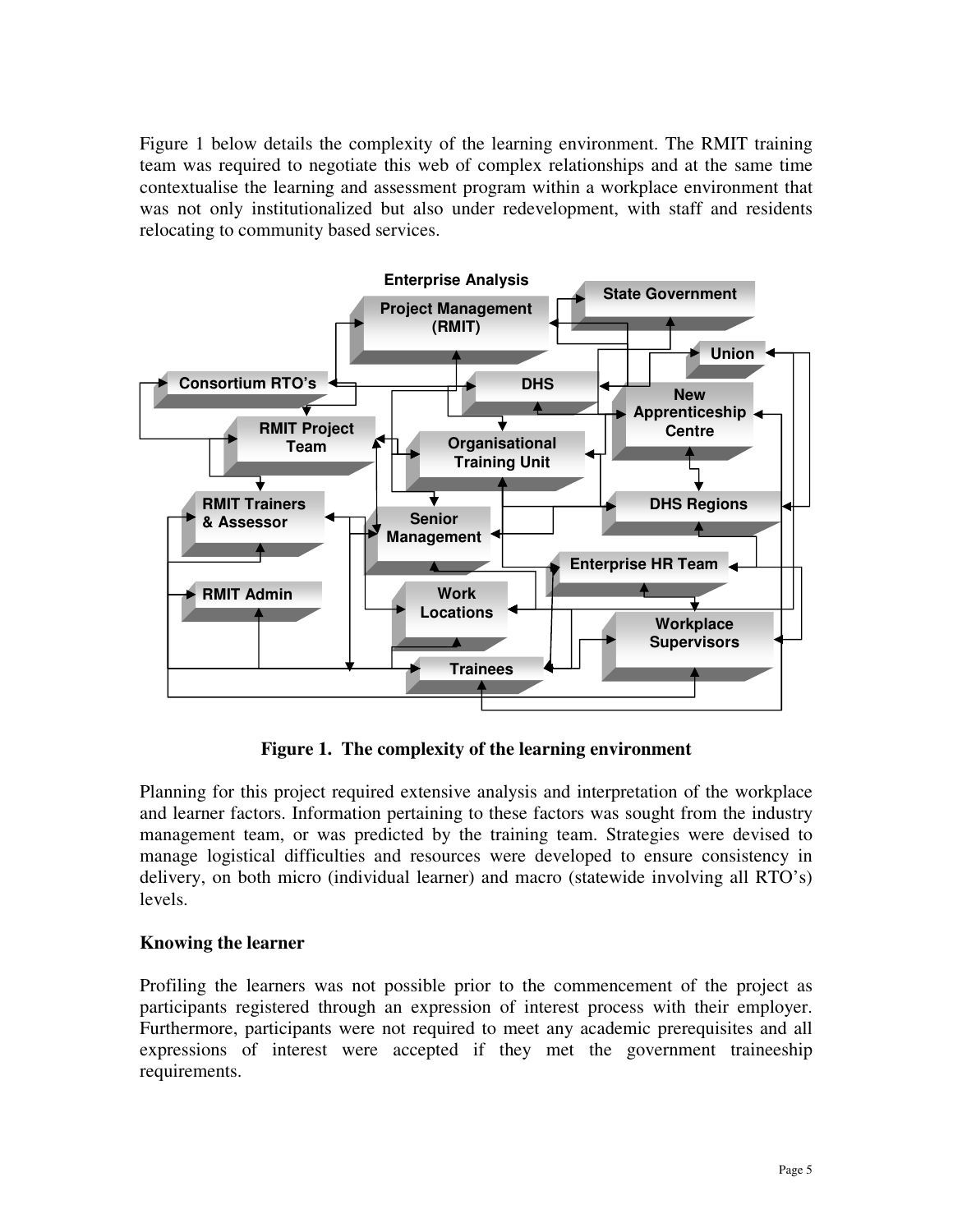Figure 1 below details the complexity of the learning environment. The RMIT training team was required to negotiate this web of complex relationships and at the same time contextualise the learning and assessment program within a workplace environment that was not only institutionalized but also under redevelopment, with staff and residents relocating to community based services.



**Figure 1. The complexity of the learning environment**

Planning for this project required extensive analysis and interpretation of the workplace and learner factors. Information pertaining to these factors was sought from the industry management team, or was predicted by the training team. Strategies were devised to manage logistical difficulties and resources were developed to ensure consistency in delivery, on both micro (individual learner) and macro (statewide involving all RTO's) levels.

#### **Knowing the learner**

Profiling the learners was not possible prior to the commencement of the project as participants registered through an expression of interest process with their employer. Furthermore, participants were not required to meet any academic prerequisites and all expressions of interest were accepted if they met the government traineeship requirements.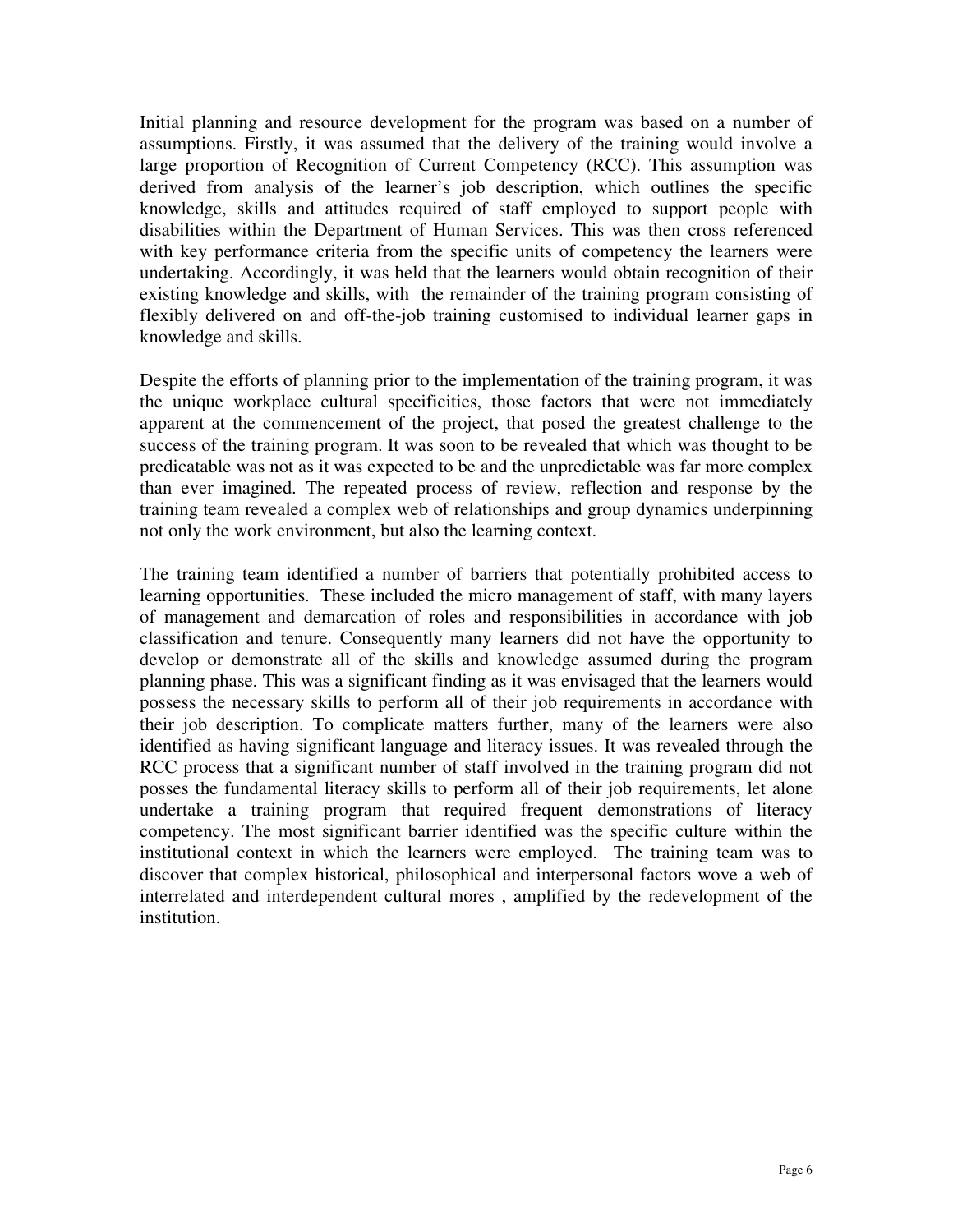Initial planning and resource development for the program was based on a number of assumptions. Firstly, it was assumed that the delivery of the training would involve a large proportion of Recognition of Current Competency (RCC). This assumption was derived from analysis of the learner's job description, which outlines the specific knowledge, skills and attitudes required of staff employed to support people with disabilities within the Department of Human Services. This was then cross referenced with key performance criteria from the specific units of competency the learners were undertaking. Accordingly, it was held that the learners would obtain recognition of their existing knowledge and skills, with the remainder of the training program consisting of flexibly delivered on and off-the-job training customised to individual learner gaps in knowledge and skills.

Despite the efforts of planning prior to the implementation of the training program, it was the unique workplace cultural specificities, those factors that were not immediately apparent at the commencement of the project, that posed the greatest challenge to the success of the training program. It was soon to be revealed that which was thought to be predicatable was not as it was expected to be and the unpredictable was far more complex than ever imagined. The repeated process of review, reflection and response by the training team revealed a complex web of relationships and group dynamics underpinning not only the work environment, but also the learning context.

The training team identified a number of barriers that potentially prohibited access to learning opportunities. These included the micro management of staff, with many layers of management and demarcation of roles and responsibilities in accordance with job classification and tenure. Consequently many learners did not have the opportunity to develop or demonstrate all of the skills and knowledge assumed during the program planning phase. This was a significant finding as it was envisaged that the learners would possess the necessary skills to perform all of their job requirements in accordance with their job description. To complicate matters further, many of the learners were also identified as having significant language and literacy issues. It was revealed through the RCC process that a significant number of staff involved in the training program did not posses the fundamental literacy skills to perform all of their job requirements, let alone undertake a training program that required frequent demonstrations of literacy competency. The most significant barrier identified was the specific culture within the institutional context in which the learners were employed. The training team was to discover that complex historical, philosophical and interpersonal factors wove a web of interrelated and interdependent cultural mores , amplified by the redevelopment of the institution.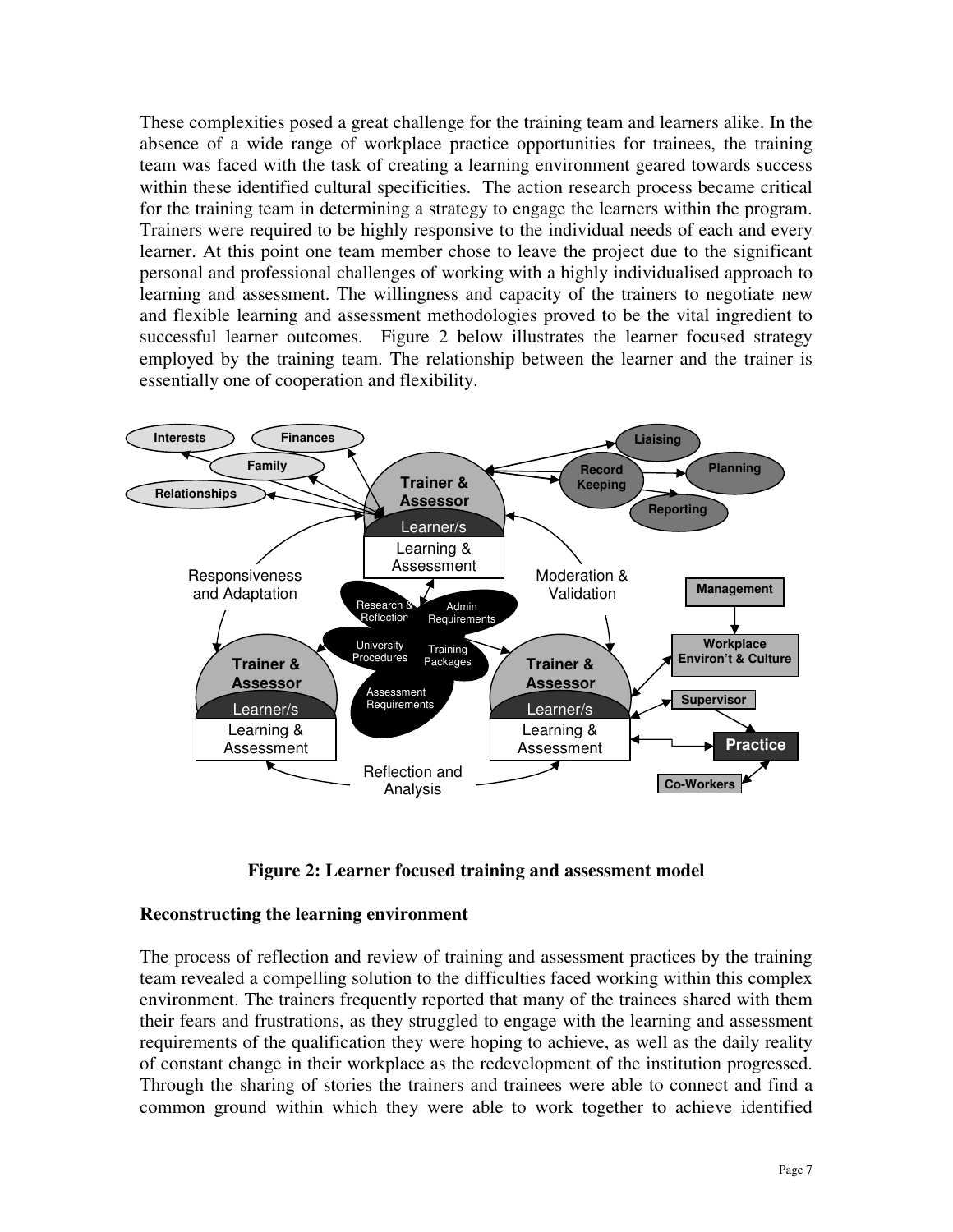These complexities posed a great challenge for the training team and learners alike. In the absence of a wide range of workplace practice opportunities for trainees, the training team was faced with the task of creating a learning environment geared towards success within these identified cultural specificities. The action research process became critical for the training team in determining a strategy to engage the learners within the program. Trainers were required to be highly responsive to the individual needs of each and every learner. At this point one team member chose to leave the project due to the significant personal and professional challenges of working with a highly individualised approach to learning and assessment. The willingness and capacity of the trainers to negotiate new and flexible learning and assessment methodologies proved to be the vital ingredient to successful learner outcomes. Figure 2 below illustrates the learner focused strategy employed by the training team. The relationship between the learner and the trainer is essentially one of cooperation and flexibility.



**Figure 2: Learner focused training and assessment model**

#### **Reconstructing the learning environment**

The process of reflection and review of training and assessment practices by the training team revealed a compelling solution to the difficulties faced working within this complex environment. The trainers frequently reported that many of the trainees shared with them their fears and frustrations, as they struggled to engage with the learning and assessment requirements of the qualification they were hoping to achieve, as well as the daily reality of constant change in their workplace as the redevelopment of the institution progressed. Through the sharing of stories the trainers and trainees were able to connect and find a common ground within which they were able to work together to achieve identified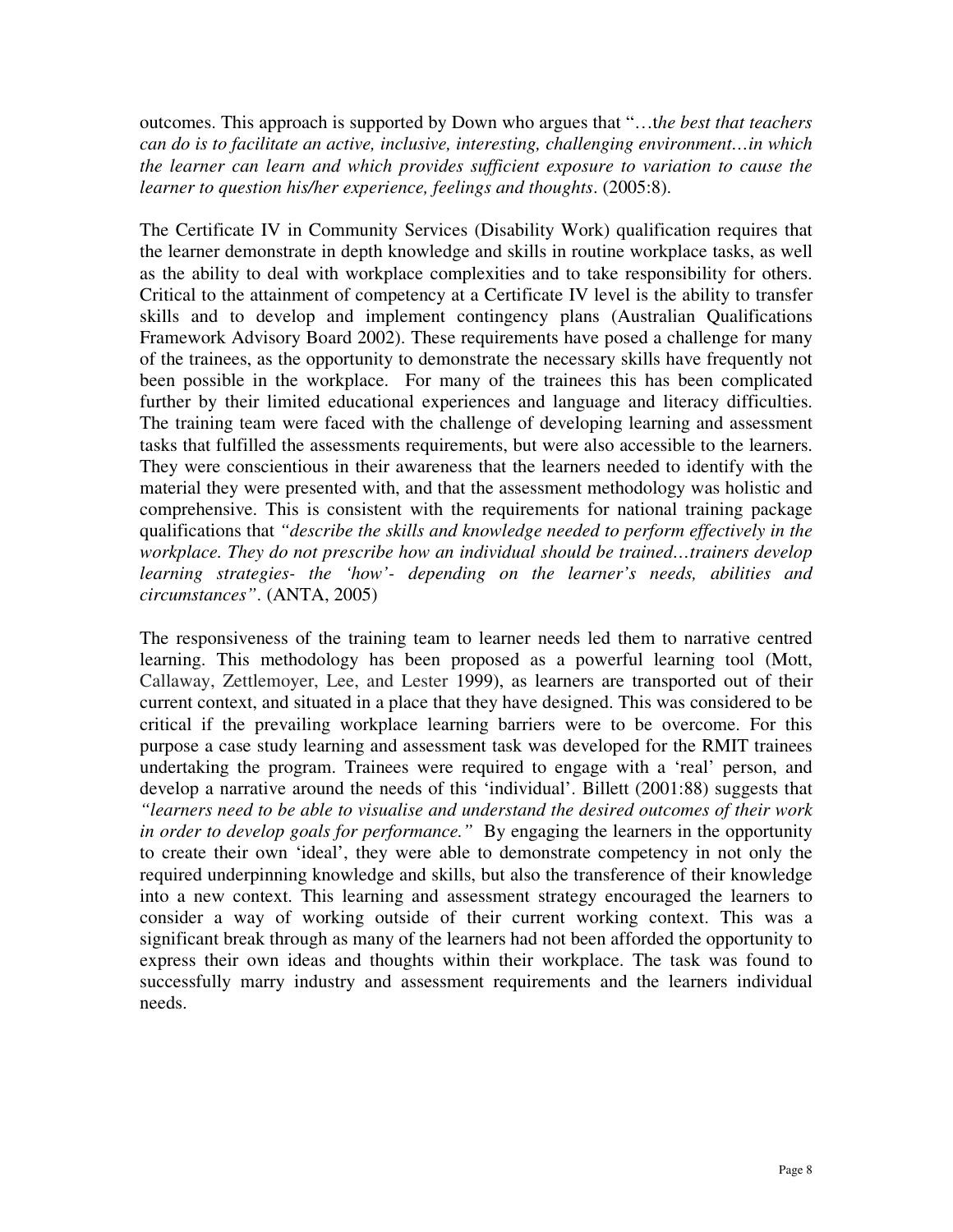outcomes. This approach is supported by Down who argues that "…t*he best that teachers can do is to facilitate an active, inclusive, interesting, challenging environment…in which the learner can learn and which provides sufficient exposure to variation to cause the learner to question his/her experience, feelings and thoughts*. (2005:8).

The Certificate IV in Community Services (Disability Work) qualification requires that the learner demonstrate in depth knowledge and skills in routine workplace tasks, as well as the ability to deal with workplace complexities and to take responsibility for others. Critical to the attainment of competency at a Certificate IV level is the ability to transfer skills and to develop and implement contingency plans (Australian Qualifications Framework Advisory Board 2002). These requirements have posed a challenge for many of the trainees, as the opportunity to demonstrate the necessary skills have frequently not been possible in the workplace. For many of the trainees this has been complicated further by their limited educational experiences and language and literacy difficulties. The training team were faced with the challenge of developing learning and assessment tasks that fulfilled the assessments requirements, but were also accessible to the learners. They were conscientious in their awareness that the learners needed to identify with the material they were presented with, and that the assessment methodology was holistic and comprehensive. This is consistent with the requirements for national training package qualifications that *"describe the skills and knowledge needed to perform effectively in the workplace. They do not prescribe how an individual should be trained…trainers develop learning strategies- the 'how'- depending on the learner's needs, abilities and circumstances"*. (ANTA, 2005)

The responsiveness of the training team to learner needs led them to narrative centred learning. This methodology has been proposed as a powerful learning tool (Mott, Callaway, Zettlemoyer, Lee, and Lester 1999), as learners are transported out of their current context, and situated in a place that they have designed. This was considered to be critical if the prevailing workplace learning barriers were to be overcome. For this purpose a case study learning and assessment task was developed for the RMIT trainees undertaking the program. Trainees were required to engage with a 'real' person, and develop a narrative around the needs of this 'individual'. Billett (2001:88) suggests that *"learners need to be able to visualise and understand the desired outcomes of their work in order to develop goals for performance."* By engaging the learners in the opportunity to create their own 'ideal', they were able to demonstrate competency in not only the required underpinning knowledge and skills, but also the transference of their knowledge into a new context. This learning and assessment strategy encouraged the learners to consider a way of working outside of their current working context. This was a significant break through as many of the learners had not been afforded the opportunity to express their own ideas and thoughts within their workplace. The task was found to successfully marry industry and assessment requirements and the learners individual needs.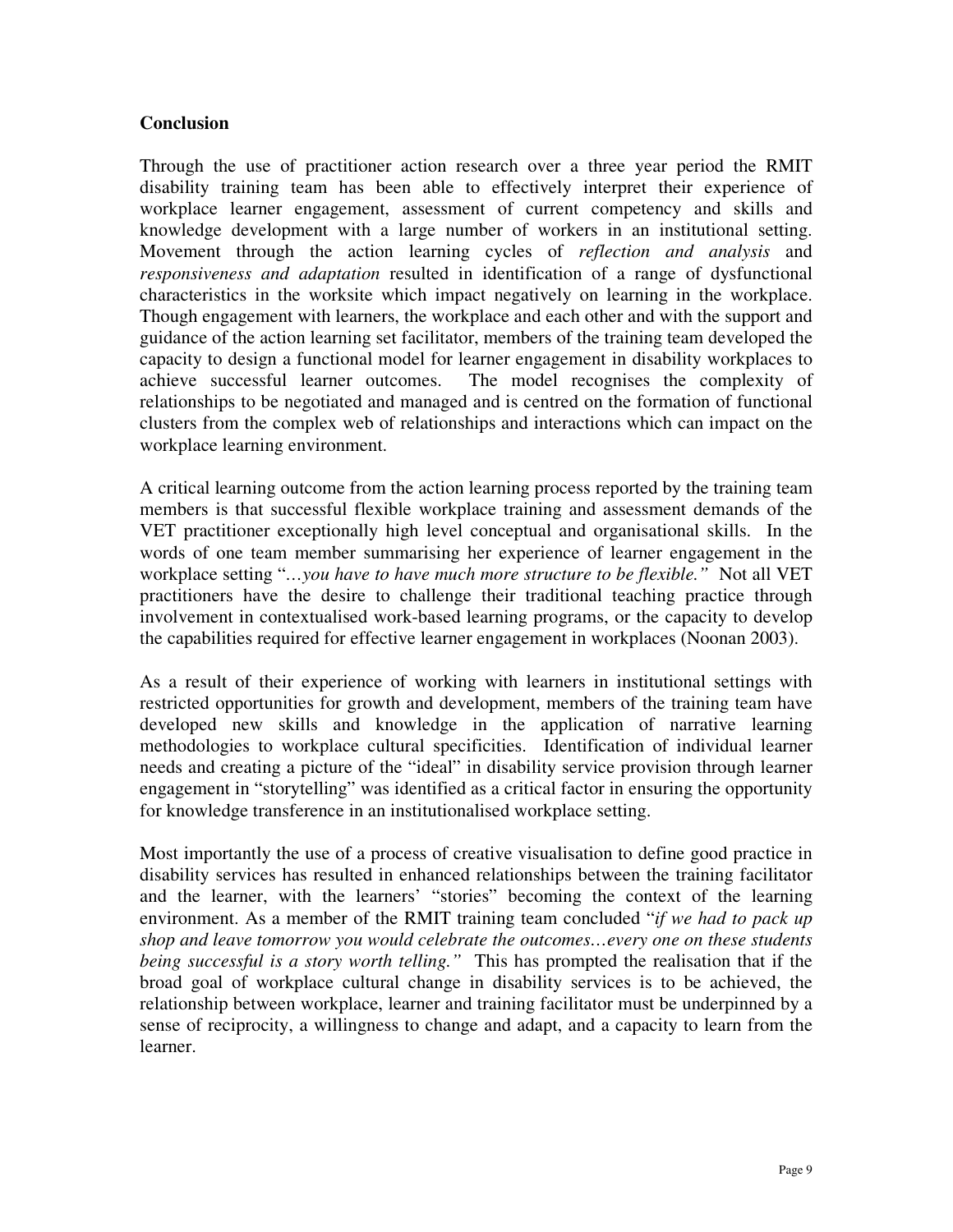### **Conclusion**

Through the use of practitioner action research over a three year period the RMIT disability training team has been able to effectively interpret their experience of workplace learner engagement, assessment of current competency and skills and knowledge development with a large number of workers in an institutional setting. Movement through the action learning cycles of *reflection and analysis* and *responsiveness and adaptation* resulted in identification of a range of dysfunctional characteristics in the worksite which impact negatively on learning in the workplace. Though engagement with learners, the workplace and each other and with the support and guidance of the action learning set facilitator, members of the training team developed the capacity to design a functional model for learner engagement in disability workplaces to achieve successful learner outcomes. The model recognises the complexity of relationships to be negotiated and managed and is centred on the formation of functional clusters from the complex web of relationships and interactions which can impact on the workplace learning environment.

A critical learning outcome from the action learning process reported by the training team members is that successful flexible workplace training and assessment demands of the VET practitioner exceptionally high level conceptual and organisational skills. In the words of one team member summarising her experience of learner engagement in the workplace setting "*…you have to have much more structure to be flexible."* Not all VET practitioners have the desire to challenge their traditional teaching practice through involvement in contextualised work-based learning programs, or the capacity to develop the capabilities required for effective learner engagement in workplaces (Noonan 2003).

As a result of their experience of working with learners in institutional settings with restricted opportunities for growth and development, members of the training team have developed new skills and knowledge in the application of narrative learning methodologies to workplace cultural specificities. Identification of individual learner needs and creating a picture of the "ideal" in disability service provision through learner engagement in "storytelling" was identified as a critical factor in ensuring the opportunity for knowledge transference in an institutionalised workplace setting.

Most importantly the use of a process of creative visualisation to define good practice in disability services has resulted in enhanced relationships between the training facilitator and the learner, with the learners' "stories" becoming the context of the learning environment. As a member of the RMIT training team concluded "*if we had to pack up shop and leave tomorrow you would celebrate the outcomes…every one on these students being successful is a story worth telling."* This has prompted the realisation that if the broad goal of workplace cultural change in disability services is to be achieved, the relationship between workplace, learner and training facilitator must be underpinned by a sense of reciprocity, a willingness to change and adapt, and a capacity to learn from the learner.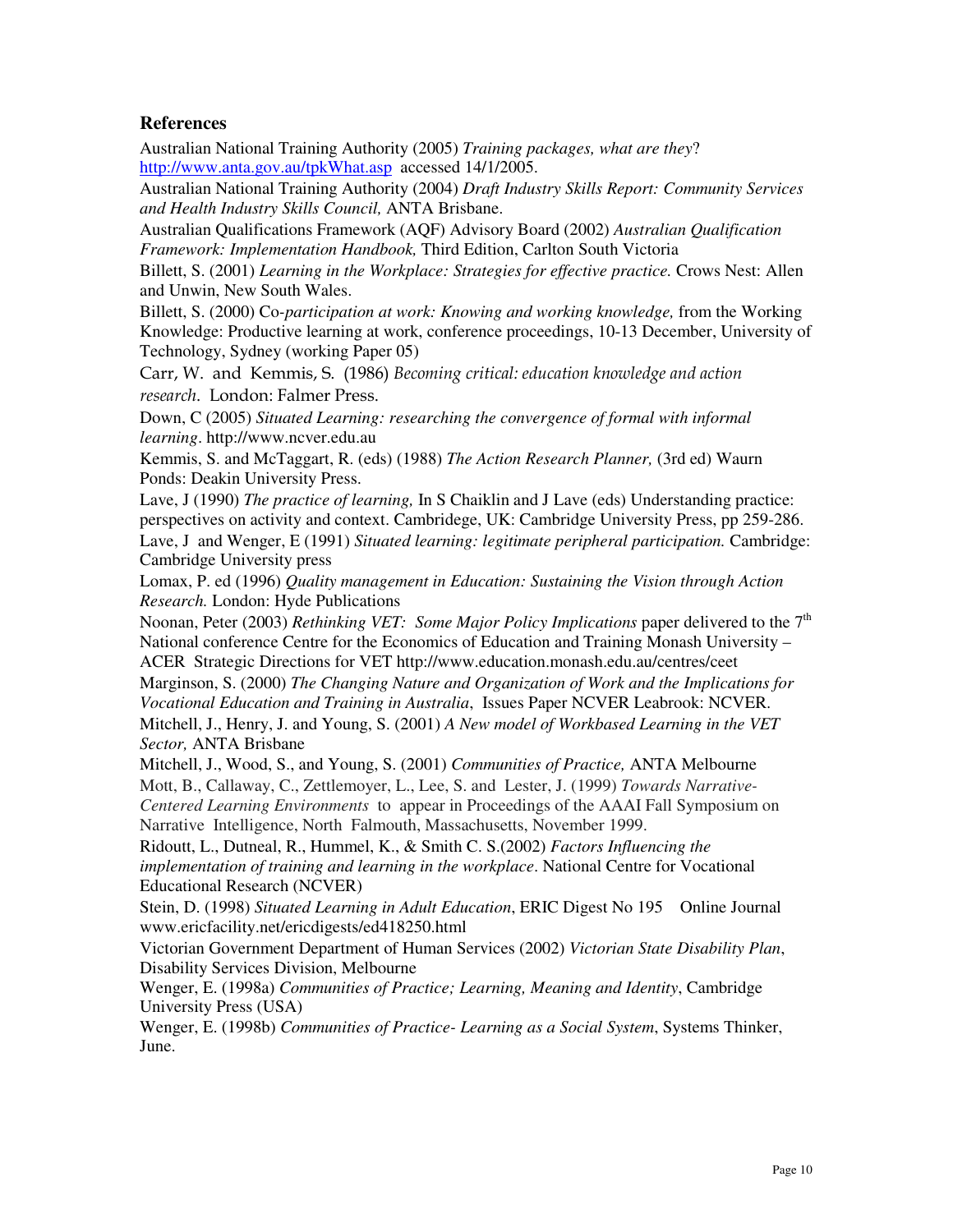#### **References**

Australian National Training Authority (2005) *Training packages, what are they*? http://www.anta.gov.au/tpkWhat.asp accessed 14/1/2005.

Australian National Training Authority (2004) *Draft Industry Skills Report: Community Services and Health Industry Skills Council,* ANTA Brisbane.

Australian Qualifications Framework (AQF) Advisory Board (2002) *Australian Qualification Framework: Implementation Handbook,* Third Edition, Carlton South Victoria

Billett, S. (2001) *Learning in the Workplace: Strategies for effective practice.* Crows Nest: Allen and Unwin, New South Wales.

Billett, S. (2000) Co*-participation at work: Knowing and working knowledge,* from the Working Knowledge: Productive learning at work, conference proceedings, 10-13 December, University of Technology, Sydney (working Paper 05)

Carr, W. and Kemmis, S. (1986) Becoming critical: education knowledge and action *research*. London: Falmer Press.

Down, C (2005) *Situated Learning: researching the convergence of formal with informal learning*. http://www.ncver.edu.au

Kemmis, S. and McTaggart, R. (eds) (1988) *The Action Research Planner,* (3rd ed) Waurn Ponds: Deakin University Press.

Lave, J (1990) *The practice of learning,* In S Chaiklin and J Lave (eds) Understanding practice: perspectives on activity and context. Cambridege, UK: Cambridge University Press, pp 259-286. Lave, J and Wenger, E (1991) *Situated learning: legitimate peripheral participation.* Cambridge: Cambridge University press

Lomax, P. ed (1996) *Quality management in Education: Sustaining the Vision through Action Research.* London: Hyde Publications

Noonan, Peter (2003) *Rethinking VET: Some Major Policy Implications* paper delivered to the 7 th National conference Centre for the Economics of Education and Training Monash University – ACER Strategic Directions for VET http://www.education.monash.edu.au/centres/ceet

Marginson, S. (2000) *The Changing Nature and Organization of Work and the Implications for Vocational Education and Training in Australia*, Issues Paper NCVER Leabrook: NCVER. Mitchell, J., Henry, J. and Young, S. (2001) *A New model of Workbased Learning in the VET Sector,* ANTA Brisbane

Mitchell, J., Wood, S., and Young, S. (2001) *Communities of Practice,* ANTA Melbourne Mott, B., Callaway, C., Zettlemoyer, L., Lee, S. and Lester, J. (1999) *Towards Narrative-Centered Learning Environments* to appear in Proceedings of the AAAI Fall Symposium on Narrative Intelligence, North Falmouth, Massachusetts, November 1999.

Ridoutt, L., Dutneal, R., Hummel, K., & Smith C. S.(2002) *Factors Influencing the implementation of training and learning in the workplace*. National Centre for Vocational Educational Research (NCVER)

Stein, D. (1998) *Situated Learning in Adult Education*, ERIC Digest No 195 Online Journal www.ericfacility.net/ericdigests/ed418250.html

Victorian Government Department of Human Services (2002) *Victorian State Disability Plan*, Disability Services Division, Melbourne

Wenger, E. (1998a) *Communities of Practice; Learning, Meaning and Identity*, Cambridge University Press (USA)

Wenger, E. (1998b) *Communities of Practice- Learning as a Social System*, Systems Thinker, June.